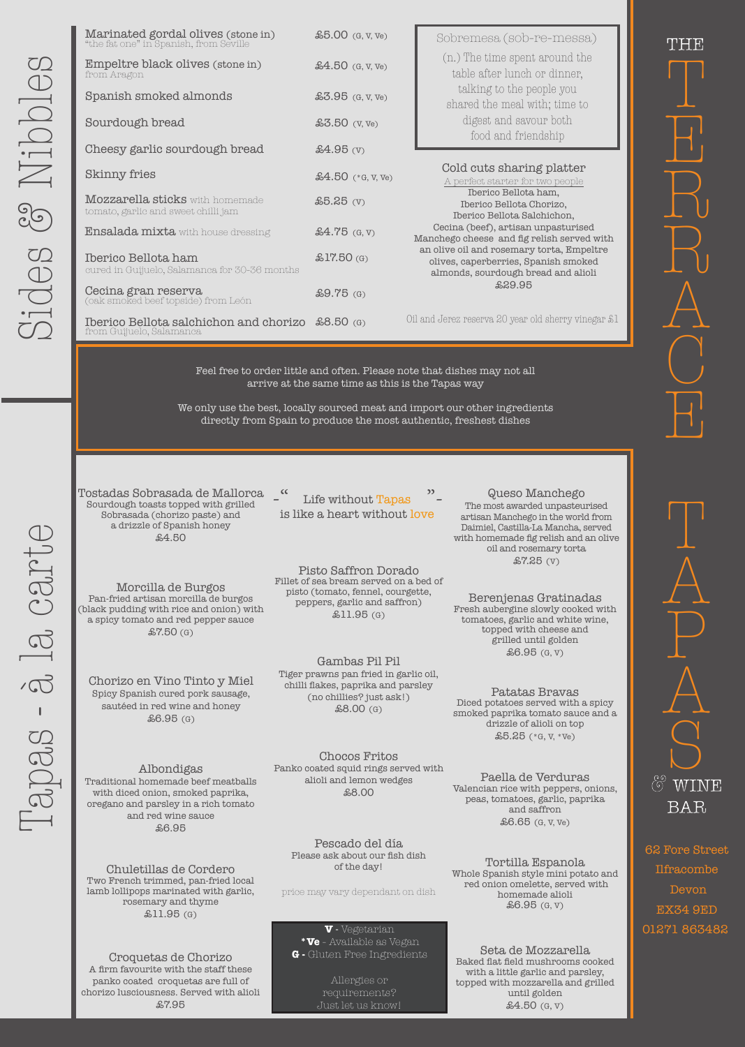Tapas - à la carte 

28 - 3 12 CAM-



Chorizo en Vino Tinto y Miel Spicy Spanish cured pork sausage, sautéed in red wine and honey £6.95 (G)

Albondigas Traditional homemade beef meatballs with diced onion, smoked paprika, oregano and parsley in a rich tomato and red wine sauce £6.95

Gambas Pil Pil Tiger prawns pan fried in garlic oil, chilli flakes, paprika and parsley (no chillies? just ask!) £8.00 (G)

> Tortilla Espanola Whole Spanish style mini potato and red onion omelette, served with homemade alioli  $$6.95$  (G, V)

Chocos Fritos Panko coated squid rings served with alioli and lemon wedges £8.00

Queso Manchego The most awarded unpasteurised artisan Manchego in the world from Daimiel, Castilla-La Mancha, served with homemade fig relish and an olive oil and rosemary torta £7.25 (V)

Berenjenas Gratinadas Fresh aubergine slowly cooked with tomatoes, garlic and white wine, topped with cheese and grilled until golden £6.95 (G, V)

Paella de Verduras

Valencian rice with peppers, onions, peas, tomatoes, garlic, paprika and saffron £6.65 (G, V, Ve)

Patatas Bravas Diced potatoes served with a spicy smoked paprika tomato sauce and a drizzle of alioli on top £5.25 (\*G, V, \*Ve)

**G** - Gluten Free Ingredients **Seta de Mozzarella** Baked flat field mushrooms cooked with a little garlic and parsley, topped with mozzarella and grilled until golden £4.50 (G, V)

-" Life without Tapas"is like a heart without love

Croquetas de Chorizo A firm favourite with the staff these panko coated croquetas are full of chorizo lusciousness. Served with alioli £7.95

Pisto Saffron Dorado Fillet of sea bream served on a bed of pisto (tomato, fennel, courgette, peppers, garlic and saffron) £11.95 (G)

Pescado del día Please ask about our fish dish of the day!

| Marinated gordal olives (stone in)<br>"the fat one" in Spanish, from Seville  | $$5.00$ (G, V, Ve)  | Sobremesa (sob-re-messa)                                                                                                 |
|-------------------------------------------------------------------------------|---------------------|--------------------------------------------------------------------------------------------------------------------------|
| Empeltre black olives (stone in)<br>from Aragon                               | $$4.50$ (G, V, Ve)  | (n.) The time spent around the<br>table after lunch or dinner,                                                           |
| Spanish smoked almonds                                                        | $$3.95$ (G, V, Ve)  | talking to the people you<br>shared the meal with; time to                                                               |
| Sourdough bread                                                               | $$3.50$ (V, Ve)     | digest and sayour both<br>food and friendship                                                                            |
| Cheesy garlic sourdough bread                                                 | $$4.95$ (V)         |                                                                                                                          |
| <b>Skinny fries</b>                                                           | $$4.50$ (*G, V, Ve) | Cold cuts sharing platter<br>A perfect starter for two people                                                            |
| <b>Mozzarella sticks</b> with homemade<br>tomato, garlic and sweet chilli jam | $$5.25$ (V)         | Iberico Bellota ham,<br>Iberico Bellota Chorizo,<br>Iberico Bellota Salchichon,                                          |
| <b>Ensalada mixta</b> with house dressing                                     | $$4.75$ (G, V)      | Cecina (beef), artisan unpasturised<br>Manchego cheese and fig relish served with                                        |
| Iberico Bellota ham<br>cured in Guijuelo, Salamanca for 30-36 months          | $$17.50$ (G)        | an olive oil and rosemary torta, Empeltre<br>olives, caperberries, Spanish smoked<br>almonds, sourdough bread and alioli |
| Cecina gran reserva<br>(oak smoked beef topside) from León                    | $$9.75$ (G)         | £29.95                                                                                                                   |
| Iberico Bellota salchichon and chorizo £8.50 (G)<br>from Guijuelo, Salamanca  |                     | Oil and Jerez reserva 20 year old sherry vinegar £1                                                                      |

price may vary dependant on dish

Allergies or requirements? Just let us know!

**V** - Vegetarian **\*Ve** - Available as Vegan

Feel free to order little and often. Please note that dishes may not all arrive at the same time as this is the Tapas way

We only use the best, locally sourced meat and import our other ingredients directly from Spain to produce the most authentic, freshest dishes

> 62 Fore Street Ilfracombe Devon EX34 9ED 01271 863482

Chuletillas de Cordero Two French trimmed, pan-fried local lamb lollipops marinated with garlic, rosemary and thyme £11.95 (G)

Morcilla de Burgos Pan-fried artisan morcilla de burgos (black pudding with rice and onion) with a spicy tomato and red pepper sauce £7.50 (G)

Tostadas Sobrasada de Mallorca Sourdough toasts topped with grilled Sobrasada (chorizo paste) and a drizzle of Spanish honey £4.50